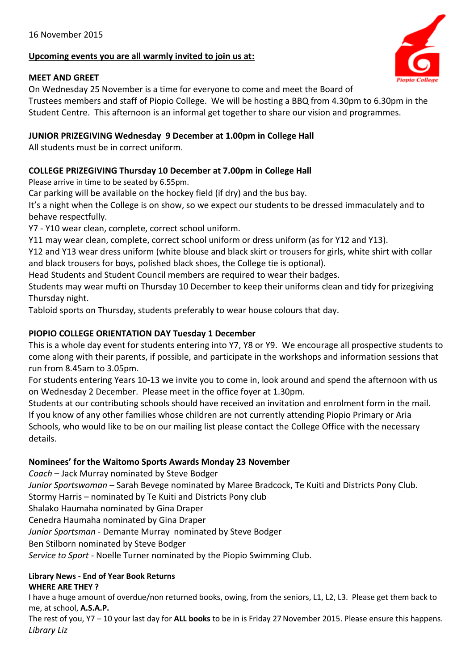# **Upcoming events you are all warmly invited to join us at:**

### **MEET AND GREET**

On Wednesday 25 November is a time for everyone to come and meet the Board of Trustees members and staff of Piopio College. We will be hosting a BBQ from 4.30pm to 6.30pm in the Student Centre. This afternoon is an informal get together to share our vision and programmes.

## **JUNIOR PRIZEGIVING Wednesday 9 December at 1.00pm in College Hall**

All students must be in correct uniform.

# **COLLEGE PRIZEGIVING Thursday 10 December at 7.00pm in College Hall**

Please arrive in time to be seated by 6.55pm.

Car parking will be available on the hockey field (if dry) and the bus bay.

It's a night when the College is on show, so we expect our students to be dressed immaculately and to behave respectfully.

Y7 - Y10 wear clean, complete, correct school uniform.

Y11 may wear clean, complete, correct school uniform or dress uniform (as for Y12 and Y13).

Y12 and Y13 wear dress uniform (white blouse and black skirt or trousers for girls, white shirt with collar and black trousers for boys, polished black shoes, the College tie is optional).

Head Students and Student Council members are required to wear their badges.

Students may wear mufti on Thursday 10 December to keep their uniforms clean and tidy for prizegiving Thursday night.

Tabloid sports on Thursday, students preferably to wear house colours that day.

# **PIOPIO COLLEGE ORIENTATION DAY Tuesday 1 December**

This is a whole day event for students entering into Y7, Y8 or Y9. We encourage all prospective students to come along with their parents, if possible, and participate in the workshops and information sessions that run from 8.45am to 3.05pm.

For students entering Years 10-13 we invite you to come in, look around and spend the afternoon with us on Wednesday 2 December. Please meet in the office foyer at 1.30pm.

Students at our contributing schools should have received an invitation and enrolment form in the mail. If you know of any other families whose children are not currently attending Piopio Primary or Aria Schools, who would like to be on our mailing list please contact the College Office with the necessary details.

### **Nominees' for the Waitomo Sports Awards Monday 23 November**

*Coach* – Jack Murray nominated by Steve Bodger

*Junior Sportswoman* – Sarah Bevege nominated by Maree Bradcock, Te Kuiti and Districts Pony Club.

Stormy Harris – nominated by Te Kuiti and Districts Pony club

Shalako Haumaha nominated by Gina Draper

Cenedra Haumaha nominated by Gina Draper

*Junior Sportsman* - Demante Murray nominated by Steve Bodger

Ben Stilborn nominated by Steve Bodger

*Service to Sport* - Noelle Turner nominated by the Piopio Swimming Club.

### **Library News - End of Year Book Returns WHERE ARE THEY ?**

I have a huge amount of overdue/non returned books, owing, from the seniors, L1, L2, L3. Please get them back to me, at school, **A.S.A.P.**

The rest of you, Y7 – 10 your last day for **ALL books** to be in is Friday 27 November 2015. Please ensure this happens. *Library Liz*